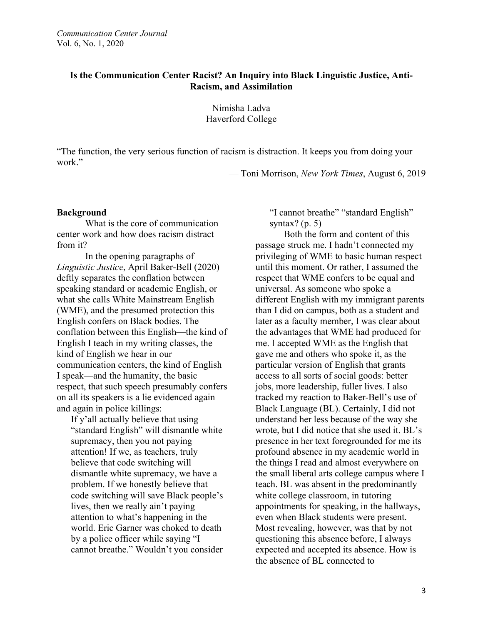# **Is the Communication Center Racist? An Inquiry into Black Linguistic Justice, Anti-Racism, and Assimilation**

Nimisha Ladva Haverford College

"The function, the very serious function of racism is distraction. It keeps you from doing your work."

— Toni Morrison, *New York Times*, August 6, 2019

#### **Background**

What is the core of communication center work and how does racism distract from it?

In the opening paragraphs of *Linguistic Justice*, April Baker-Bell (2020) deftly separates the conflation between speaking standard or academic English, or what she calls White Mainstream English (WME), and the presumed protection this English confers on Black bodies. The conflation between this English—the kind of English I teach in my writing classes, the kind of English we hear in our communication centers, the kind of English I speak—and the humanity, the basic respect, that such speech presumably confers on all its speakers is a lie evidenced again and again in police killings:

If y'all actually believe that using "standard English" will dismantle white supremacy, then you not paying attention! If we, as teachers, truly believe that code switching will dismantle white supremacy, we have a problem. If we honestly believe that code switching will save Black people's lives, then we really ain't paying attention to what's happening in the world. Eric Garner was choked to death by a police officer while saying "I cannot breathe." Wouldn't you consider "I cannot breathe" "standard English" syntax?  $(p, 5)$ 

Both the form and content of this passage struck me. I hadn't connected my privileging of WME to basic human respect until this moment. Or rather, I assumed the respect that WME confers to be equal and universal. As someone who spoke a different English with my immigrant parents than I did on campus, both as a student and later as a faculty member, I was clear about the advantages that WME had produced for me. I accepted WME as the English that gave me and others who spoke it, as the particular version of English that grants access to all sorts of social goods: better jobs, more leadership, fuller lives. I also tracked my reaction to Baker-Bell's use of Black Language (BL). Certainly, I did not understand her less because of the way she wrote, but I did notice that she used it. BL's presence in her text foregrounded for me its profound absence in my academic world in the things I read and almost everywhere on the small liberal arts college campus where I teach. BL was absent in the predominantly white college classroom, in tutoring appointments for speaking, in the hallways, even when Black students were present. Most revealing, however, was that by not questioning this absence before, I always expected and accepted its absence. How is the absence of BL connected to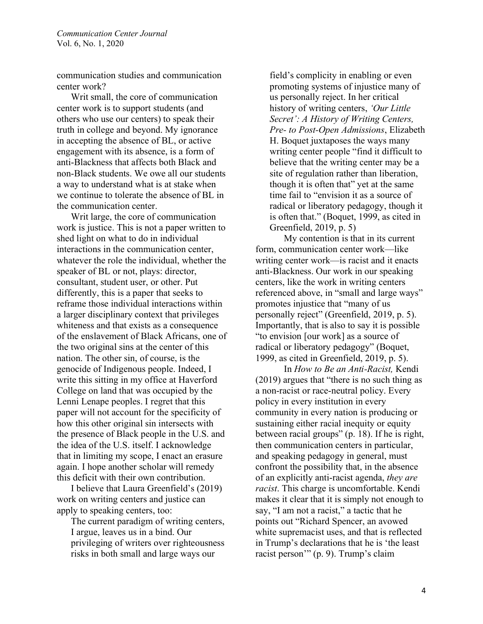communication studies and communication center work?

Writ small, the core of communication center work is to support students (and others who use our centers) to speak their truth in college and beyond. My ignorance in accepting the absence of BL, or active engagement with its absence, is a form of anti-Blackness that affects both Black and non-Black students. We owe all our students a way to understand what is at stake when we continue to tolerate the absence of BL in the communication center.

Writ large, the core of communication work is justice. This is not a paper written to shed light on what to do in individual interactions in the communication center, whatever the role the individual, whether the speaker of BL or not, plays: director, consultant, student user, or other. Put differently, this is a paper that seeks to reframe those individual interactions within a larger disciplinary context that privileges whiteness and that exists as a consequence of the enslavement of Black Africans, one of the two original sins at the center of this nation. The other sin, of course, is the genocide of Indigenous people. Indeed, I write this sitting in my office at Haverford College on land that was occupied by the Lenni Lenape peoples. I regret that this paper will not account for the specificity of how this other original sin intersects with the presence of Black people in the U.S. and the idea of the U.S. itself. I acknowledge that in limiting my scope, I enact an erasure again. I hope another scholar will remedy this deficit with their own contribution.

I believe that Laura Greenfield's (2019) work on writing centers and justice can apply to speaking centers, too:

The current paradigm of writing centers, I argue, leaves us in a bind. Our privileging of writers over righteousness risks in both small and large ways our

field's complicity in enabling or even promoting systems of injustice many of us personally reject. In her critical history of writing centers, *'Our Little Secret': A History of Writing Centers, Pre- to Post-Open Admissions*, Elizabeth H. Boquet juxtaposes the ways many writing center people "find it difficult to believe that the writing center may be a site of regulation rather than liberation, though it is often that" yet at the same time fail to "envision it as a source of radical or liberatory pedagogy, though it is often that." (Boquet, 1999, as cited in Greenfield, 2019, p. 5)

My contention is that in its current form, communication center work—like writing center work—is racist and it enacts anti-Blackness. Our work in our speaking centers, like the work in writing centers referenced above, in "small and large ways" promotes injustice that "many of us personally reject" (Greenfield, 2019, p. 5). Importantly, that is also to say it is possible "to envision [our work] as a source of radical or liberatory pedagogy" (Boquet, 1999, as cited in Greenfield, 2019, p. 5).

In *How to Be an Anti-Racist,* Kendi (2019) argues that "there is no such thing as a non-racist or race-neutral policy. Every policy in every institution in every community in every nation is producing or sustaining either racial inequity or equity between racial groups" (p. 18). If he is right, then communication centers in particular, and speaking pedagogy in general, must confront the possibility that, in the absence of an explicitly anti-racist agenda, *they are racist*. This charge is uncomfortable. Kendi makes it clear that it is simply not enough to say, "I am not a racist," a tactic that he points out "Richard Spencer, an avowed white supremacist uses, and that is reflected in Trump's declarations that he is 'the least racist person'" (p. 9). Trump's claim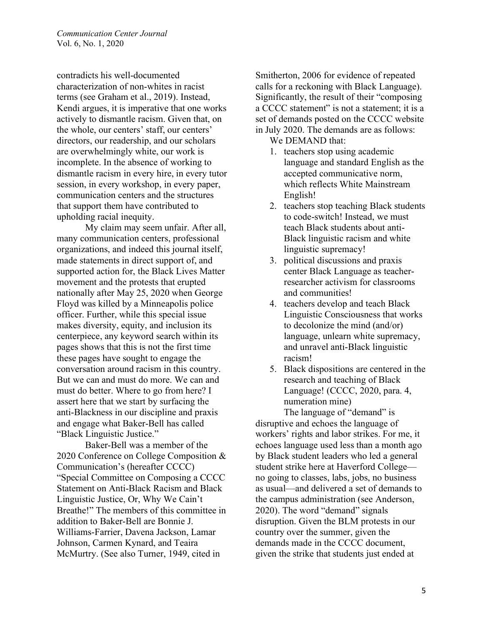contradicts his well-documented characterization of non-whites in racist terms (see Graham et al., 2019). Instead, Kendi argues, it is imperative that one works actively to dismantle racism. Given that, on the whole, our centers' staff, our centers' directors, our readership, and our scholars are overwhelmingly white, our work is incomplete. In the absence of working to dismantle racism in every hire, in every tutor session, in every workshop, in every paper, communication centers and the structures that support them have contributed to upholding racial inequity.

My claim may seem unfair. After all, many communication centers, professional organizations, and indeed this journal itself, made statements in direct support of, and supported action for, the Black Lives Matter movement and the protests that erupted nationally after May 25, 2020 when George Floyd was killed by a Minneapolis police officer. Further, while this special issue makes diversity, equity, and inclusion its centerpiece, any keyword search within its pages shows that this is not the first time these pages have sought to engage the conversation around racism in this country. But we can and must do more. We can and must do better. Where to go from here? I assert here that we start by surfacing the anti-Blackness in our discipline and praxis and engage what Baker-Bell has called "Black Linguistic Justice."

Baker-Bell was a member of the 2020 Conference on College Composition & Communication's (hereafter CCCC) "Special Committee on Composing a CCCC Statement on Anti-Black Racism and Black Linguistic Justice, Or, Why We Cain't Breathe!" The members of this committee in addition to Baker-Bell are Bonnie J. Williams-Farrier, Davena Jackson, Lamar Johnson, Carmen Kynard, and Teaira McMurtry. (See also Turner, 1949, cited in

Smitherton, 2006 for evidence of repeated calls for a reckoning with Black Language). Significantly, the result of their "composing a CCCC statement" is not a statement; it is a set of demands posted on the CCCC website in July 2020. The demands are as follows:

- We DEMAND that:
- 1. teachers stop using academic language and standard English as the accepted communicative norm, which reflects White Mainstream English!
- 2. teachers stop teaching Black students to code-switch! Instead, we must teach Black students about anti-Black linguistic racism and white linguistic supremacy!
- 3. political discussions and praxis center Black Language as teacherresearcher activism for classrooms and communities!
- 4. teachers develop and teach Black Linguistic Consciousness that works to decolonize the mind (and/or) language, unlearn white supremacy, and unravel anti-Black linguistic racism!
- 5. Black dispositions are centered in the research and teaching of Black Language! (CCCC, 2020, para. 4, numeration mine)

The language of "demand" is disruptive and echoes the language of workers' rights and labor strikes. For me, it echoes language used less than a month ago by Black student leaders who led a general student strike here at Haverford College no going to classes, labs, jobs, no business as usual—and delivered a set of demands to the campus administration (see Anderson, 2020). The word "demand" signals disruption. Given the BLM protests in our country over the summer, given the demands made in the CCCC document, given the strike that students just ended at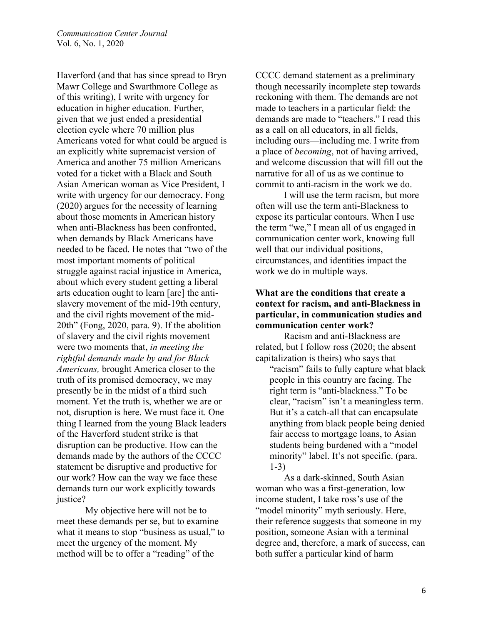Haverford (and that has since spread to Bryn Mawr College and Swarthmore College as of this writing), I write with urgency for education in higher education. Further, given that we just ended a presidential election cycle where 70 million plus Americans voted for what could be argued is an explicitly white supremacist version of America and another 75 million Americans voted for a ticket with a Black and South Asian American woman as Vice President, I write with urgency for our democracy. Fong (2020) argues for the necessity of learning about those moments in American history when anti-Blackness has been confronted, when demands by Black Americans have needed to be faced. He notes that "two of the most important moments of political struggle against racial injustice in America, about which every student getting a liberal arts education ought to learn [are] the antislavery movement of the mid-19th century, and the civil rights movement of the mid-20th" (Fong, 2020, para. 9). If the abolition of slavery and the civil rights movement were two moments that, *in meeting the rightful demands made by and for Black Americans,* brought America closer to the truth of its promised democracy, we may presently be in the midst of a third such moment. Yet the truth is, whether we are or not, disruption is here. We must face it. One thing I learned from the young Black leaders of the Haverford student strike is that disruption can be productive. How can the demands made by the authors of the CCCC statement be disruptive and productive for our work? How can the way we face these demands turn our work explicitly towards justice?

My objective here will not be to meet these demands per se, but to examine what it means to stop "business as usual," to meet the urgency of the moment. My method will be to offer a "reading" of the

CCCC demand statement as a preliminary though necessarily incomplete step towards reckoning with them. The demands are not made to teachers in a particular field: the demands are made to "teachers." I read this as a call on all educators, in all fields, including ours—including me. I write from a place of *becoming*, not of having arrived, and welcome discussion that will fill out the narrative for all of us as we continue to commit to anti-racism in the work we do.

I will use the term racism, but more often will use the term anti-Blackness to expose its particular contours. When I use the term "we," I mean all of us engaged in communication center work, knowing full well that our individual positions, circumstances, and identities impact the work we do in multiple ways.

## **What are the conditions that create a context for racism, and anti-Blackness in particular, in communication studies and communication center work?**

Racism and anti-Blackness are related, but I follow ross (2020; the absent capitalization is theirs) who says that

"racism" fails to fully capture what black people in this country are facing. The right term is "anti-blackness." To be clear, "racism" isn't a meaningless term. But it's a catch-all that can encapsulate anything from black people being denied fair access to mortgage loans, to Asian students being burdened with a "model minority" label. It's not specific. (para. 1-3)

As a dark-skinned, South Asian woman who was a first-generation, low income student, I take ross's use of the "model minority" myth seriously. Here, their reference suggests that someone in my position, someone Asian with a terminal degree and, therefore, a mark of success, can both suffer a particular kind of harm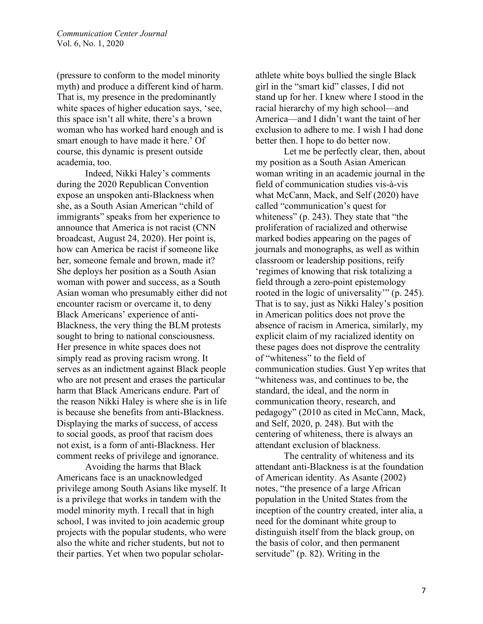(pressure to conform to the model minority myth) and produce a different kind of harm. That is, my presence in the predominantly white spaces of higher education says, 'see, this space isn't all white, there's a brown woman who has worked hard enough and is smart enough to have made it here.' Of course, this dynamic is present outside academia, too.

Indeed, Nikki Haley's comments during the 2020 Republican Convention expose an unspoken anti-Blackness when she, as a South Asian American "child of immigrants" speaks from her experience to announce that America is not racist (CNN broadcast, August 24, 2020). Her point is, how can America be racist if someone like her, someone female and brown, made it? She deploys her position as a South Asian woman with power and success, as a South Asian woman who presumably either did not encounter racism or overcame it, to deny Black Americans' experience of anti-Blackness, the very thing the BLM protests sought to bring to national consciousness. Her presence in white spaces does not simply read as proving racism wrong. It serves as an indictment against Black people who are not present and erases the particular harm that Black Americans endure. Part of the reason Nikki Haley is where she is in life is because she benefits from anti-Blackness. Displaying the marks of success, of access to social goods, as proof that racism does not exist, is a form of anti-Blackness. Her comment reeks of privilege and ignorance.

Avoiding the harms that Black Americans face is an unacknowledged privilege among South Asians like myself. It is a privilege that works in tandem with the model minority myth. I recall that in high school, I was invited to join academic group projects with the popular students, who were also the white and richer students, but not to their parties. Yet when two popular scholarathlete white boys bullied the single Black girl in the "smart kid" classes, I did not stand up for her. I knew where I stood in the racial hierarchy of my high school—and America—and I didn't want the taint of her exclusion to adhere to me. I wish I had done better then. I hope to do better now.

Let me be perfectly clear, then, about my position as a South Asian American woman writing in an academic journal in the field of communication studies vis-à-vis what McCann, Mack, and Self (2020) have called "communication's quest for whiteness" (p. 243). They state that "the proliferation of racialized and otherwise marked bodies appearing on the pages of journals and monographs, as well as within classroom or leadership positions, reify 'regimes of knowing that risk totalizing a field through a zero-point epistemology rooted in the logic of universality'" (p. 245). That is to say, just as Nikki Haley's position in American politics does not prove the absence of racism in America, similarly, my explicit claim of my racialized identity on these pages does not disprove the centrality of "whiteness" to the field of communication studies. Gust Yep writes that "whiteness was, and continues to be, the standard, the ideal, and the norm in communication theory, research, and pedagogy" (2010 as cited in McCann, Mack, and Self, 2020, p. 248). But with the centering of whiteness, there is always an attendant exclusion of blackness.

The centrality of whiteness and its attendant anti-Blackness is at the foundation of American identity. As Asante (2002) notes, "the presence of a large African population in the United States from the inception of the country created, inter alia, a need for the dominant white group to distinguish itself from the black group, on the basis of color, and then permanent servitude" (p. 82). Writing in the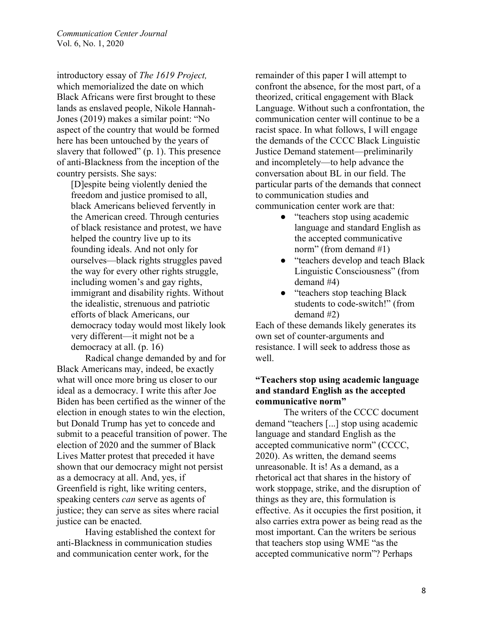introductory essay of *The 1619 Project,* which memorialized the date on which Black Africans were first brought to these lands as enslaved people, Nikole Hannah-Jones (2019) makes a similar point: "No aspect of the country that would be formed here has been untouched by the years of slavery that followed" (p. 1). This presence of anti-Blackness from the inception of the country persists. She says:

[D]espite being violently denied the freedom and justice promised to all, black Americans believed fervently in the American creed. Through centuries of black resistance and protest, we have helped the country live up to its founding ideals. And not only for ourselves—black rights struggles paved the way for every other rights struggle, including women's and gay rights, immigrant and disability rights. Without the idealistic, strenuous and patriotic efforts of black Americans, our democracy today would most likely look very different—it might not be a democracy at all. (p. 16)

Radical change demanded by and for Black Americans may, indeed, be exactly what will once more bring us closer to our ideal as a democracy. I write this after Joe Biden has been certified as the winner of the election in enough states to win the election, but Donald Trump has yet to concede and submit to a peaceful transition of power. The election of 2020 and the summer of Black Lives Matter protest that preceded it have shown that our democracy might not persist as a democracy at all. And, yes, if Greenfield is right, like writing centers, speaking centers *can* serve as agents of justice; they can serve as sites where racial justice can be enacted.

Having established the context for anti-Blackness in communication studies and communication center work, for the

remainder of this paper I will attempt to confront the absence, for the most part, of a theorized, critical engagement with Black Language. Without such a confrontation, the communication center will continue to be a racist space. In what follows, I will engage the demands of the CCCC Black Linguistic Justice Demand statement—preliminarily and incompletely—to help advance the conversation about BL in our field. The particular parts of the demands that connect to communication studies and communication center work are that:

- "teachers stop using academic language and standard English as the accepted communicative norm" (from demand #1)
- "teachers develop and teach Black Linguistic Consciousness" (from demand #4)
- "teachers stop teaching Black" students to code-switch!" (from demand #2)

Each of these demands likely generates its own set of counter-arguments and resistance. I will seek to address those as well.

# **"Teachers stop using academic language and standard English as the accepted communicative norm"**

The writers of the CCCC document demand "teachers [...] stop using academic language and standard English as the accepted communicative norm" (CCCC, 2020). As written, the demand seems unreasonable. It is! As a demand, as a rhetorical act that shares in the history of work stoppage, strike, and the disruption of things as they are, this formulation is effective. As it occupies the first position, it also carries extra power as being read as the most important. Can the writers be serious that teachers stop using WME "as the accepted communicative norm"? Perhaps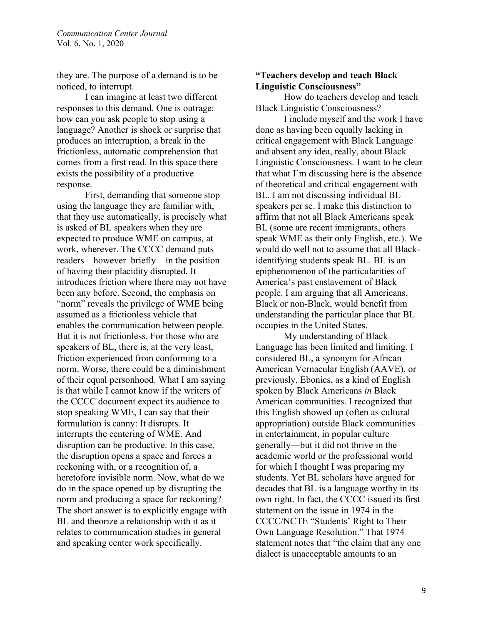they are. The purpose of a demand is to be noticed, to interrupt.

I can imagine at least two different responses to this demand. One is outrage: how can you ask people to stop using a language? Another is shock or surprise that produces an interruption, a break in the frictionless, automatic comprehension that comes from a first read. In this space there exists the possibility of a productive response.

First, demanding that someone stop using the language they are familiar with, that they use automatically, is precisely what is asked of BL speakers when they are expected to produce WME on campus, at work, wherever. The CCCC demand puts readers—however briefly—in the position of having their placidity disrupted. It introduces friction where there may not have been any before. Second, the emphasis on "norm" reveals the privilege of WME being assumed as a frictionless vehicle that enables the communication between people. But it is not frictionless. For those who are speakers of BL, there is, at the very least, friction experienced from conforming to a norm. Worse, there could be a diminishment of their equal personhood. What I am saying is that while I cannot know if the writers of the CCCC document expect its audience to stop speaking WME, I can say that their formulation is canny: It disrupts. It interrupts the centering of WME. And disruption can be productive. In this case, the disruption opens a space and forces a reckoning with, or a recognition of, a heretofore invisible norm. Now, what do we do in the space opened up by disrupting the norm and producing a space for reckoning? The short answer is to explicitly engage with BL and theorize a relationship with it as it relates to communication studies in general and speaking center work specifically.

## **"Teachers develop and teach Black Linguistic Consciousness"**

How do teachers develop and teach BIack Linguistic Consciousness?

I include myself and the work I have done as having been equally lacking in critical engagement with Black Language and absent any idea, really, about Black Linguistic Consciousness. I want to be clear that what I'm discussing here is the absence of theoretical and critical engagement with BL. I am not discussing individual BL speakers per se. I make this distinction to affirm that not all Black Americans speak BL (some are recent immigrants, others speak WME as their only English, etc.). We would do well not to assume that all Blackidentifying students speak BL. BL is an epiphenomenon of the particularities of America's past enslavement of Black people. I am arguing that all Americans, Black or non-Black, would benefit from understanding the particular place that BL occupies in the United States.

My understanding of Black Language has been limited and limiting. I considered BL, a synonym for African American Vernacular English (AAVE), or previously, Ebonics, as a kind of English spoken by Black Americans *in* Black American communities. I recognized that this English showed up (often as cultural appropriation) outside Black communities in entertainment, in popular culture generally—but it did not thrive in the academic world or the professional world for which I thought I was preparing my students. Yet BL scholars have argued for decades that BL is a language worthy in its own right. In fact, the CCCC issued its first statement on the issue in 1974 in the CCCC/NCTE "Students' Right to Their Own Language Resolution." That 1974 statement notes that "the claim that any one dialect is unacceptable amounts to an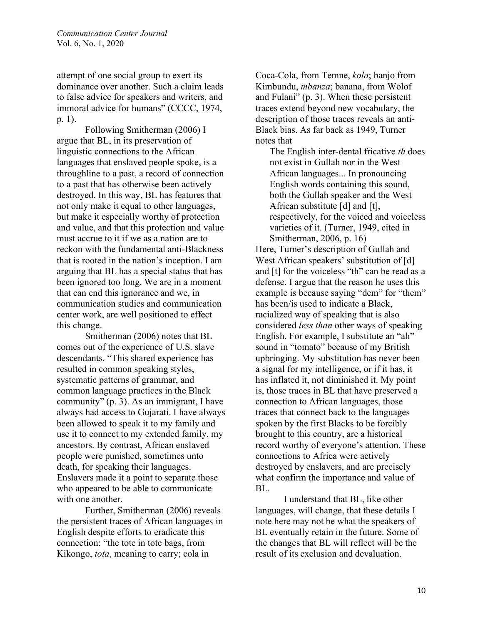attempt of one social group to exert its dominance over another. Such a claim leads to false advice for speakers and writers, and immoral advice for humans" (CCCC, 1974, p. 1).

Following Smitherman (2006) I argue that BL, in its preservation of linguistic connections to the African languages that enslaved people spoke, is a throughline to a past, a record of connection to a past that has otherwise been actively destroyed. In this way, BL has features that not only make it equal to other languages, but make it especially worthy of protection and value, and that this protection and value must accrue to it if we as a nation are to reckon with the fundamental anti-Blackness that is rooted in the nation's inception. I am arguing that BL has a special status that has been ignored too long. We are in a moment that can end this ignorance and we, in communication studies and communication center work, are well positioned to effect this change.

Smitherman (2006) notes that BL comes out of the experience of U.S. slave descendants. "This shared experience has resulted in common speaking styles, systematic patterns of grammar, and common language practices in the Black community" (p. 3). As an immigrant, I have always had access to Gujarati. I have always been allowed to speak it to my family and use it to connect to my extended family, my ancestors. By contrast, African enslaved people were punished, sometimes unto death, for speaking their languages. Enslavers made it a point to separate those who appeared to be able to communicate with one another.

Further, Smitherman (2006) reveals the persistent traces of African languages in English despite efforts to eradicate this connection: "the tote in tote bags, from Kikongo, *tota*, meaning to carry; cola in

Coca-Cola, from Temne, *kola*; banjo from Kimbundu, *mbanza*; banana, from Wolof and Fulani" (p. 3). When these persistent traces extend beyond new vocabulary, the description of those traces reveals an anti-Black bias. As far back as 1949, Turner notes that

The English inter-dental fricative *th* does not exist in Gullah nor in the West African languages... In pronouncing English words containing this sound, both the Gullah speaker and the West African substitute [d] and [t], respectively, for the voiced and voiceless varieties of it. (Turner, 1949, cited in Smitherman, 2006, p. 16)

Here, Turner's description of Gullah and West African speakers' substitution of [d] and [t] for the voiceless "th" can be read as a defense. I argue that the reason he uses this example is because saying "dem" for "them" has been/is used to indicate a Black, racialized way of speaking that is also considered *less than* other ways of speaking English. For example, I substitute an "ah" sound in "tomato" because of my British upbringing. My substitution has never been a signal for my intelligence, or if it has, it has inflated it, not diminished it. My point is, those traces in BL that have preserved a connection to African languages, those traces that connect back to the languages spoken by the first Blacks to be forcibly brought to this country, are a historical record worthy of everyone's attention. These connections to Africa were actively destroyed by enslavers, and are precisely what confirm the importance and value of BL.

I understand that BL, like other languages, will change, that these details I note here may not be what the speakers of BL eventually retain in the future. Some of the changes that BL will reflect will be the result of its exclusion and devaluation.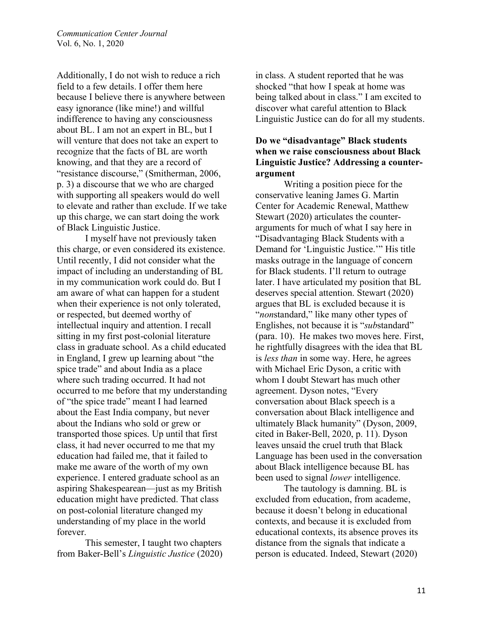Additionally, I do not wish to reduce a rich field to a few details. I offer them here because I believe there is anywhere between easy ignorance (like mine!) and willful indifference to having any consciousness about BL. I am not an expert in BL, but I will venture that does not take an expert to recognize that the facts of BL are worth knowing, and that they are a record of "resistance discourse," (Smitherman, 2006, p. 3) a discourse that we who are charged with supporting all speakers would do well to elevate and rather than exclude. If we take up this charge, we can start doing the work of Black Linguistic Justice.

I myself have not previously taken this charge, or even considered its existence. Until recently, I did not consider what the impact of including an understanding of BL in my communication work could do. But I am aware of what can happen for a student when their experience is not only tolerated, or respected, but deemed worthy of intellectual inquiry and attention. I recall sitting in my first post-colonial literature class in graduate school. As a child educated in England, I grew up learning about "the spice trade" and about India as a place where such trading occurred. It had not occurred to me before that my understanding of "the spice trade" meant I had learned about the East India company, but never about the Indians who sold or grew or transported those spices. Up until that first class, it had never occurred to me that my education had failed me, that it failed to make me aware of the worth of my own experience. I entered graduate school as an aspiring Shakespearean—just as my British education might have predicted. That class on post-colonial literature changed my understanding of my place in the world forever.

This semester, I taught two chapters from Baker-Bell's *Linguistic Justice* (2020) in class. A student reported that he was shocked "that how I speak at home was being talked about in class." I am excited to discover what careful attention to Black Linguistic Justice can do for all my students.

# **Do we "disadvantage" Black students when we raise consciousness about Black Linguistic Justice? Addressing a counterargument**

Writing a position piece for the conservative leaning James G. Martin Center for Academic Renewal, Matthew Stewart (2020) articulates the counterarguments for much of what I say here in "Disadvantaging Black Students with a Demand for 'Linguistic Justice.'" His title masks outrage in the language of concern for Black students. I'll return to outrage later. I have articulated my position that BL deserves special attention. Stewart (2020) argues that BL is excluded because it is "*non*standard," like many other types of Englishes, not because it is "*sub*standard" (para. 10). He makes two moves here. First, he rightfully disagrees with the idea that BL is *less than* in some way. Here, he agrees with Michael Eric Dyson, a critic with whom I doubt Stewart has much other agreement. Dyson notes, "Every conversation about Black speech is a conversation about Black intelligence and ultimately Black humanity" (Dyson, 2009, cited in Baker-Bell, 2020, p. 11). Dyson leaves unsaid the cruel truth that Black Language has been used in the conversation about Black intelligence because BL has been used to signal *lower* intelligence.

The tautology is damning. BL is excluded from education, from academe, because it doesn't belong in educational contexts, and because it is excluded from educational contexts, its absence proves its distance from the signals that indicate a person is educated. Indeed, Stewart (2020)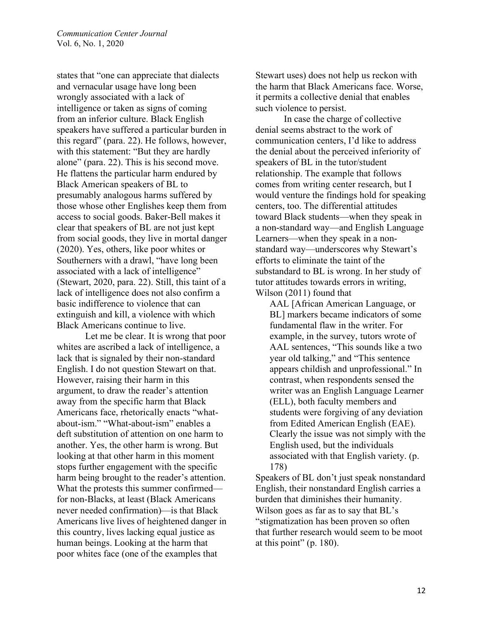states that "one can appreciate that dialects and vernacular usage have long been wrongly associated with a lack of intelligence or taken as signs of coming from an inferior culture. Black English speakers have suffered a particular burden in this regard" (para. 22). He follows, however, with this statement: "But they are hardly alone" (para. 22). This is his second move. He flattens the particular harm endured by Black American speakers of BL to presumably analogous harms suffered by those whose other Englishes keep them from access to social goods. Baker-Bell makes it clear that speakers of BL are not just kept from social goods, they live in mortal danger (2020). Yes, others, like poor whites or Southerners with a drawl, "have long been associated with a lack of intelligence" (Stewart, 2020, para. 22). Still, this taint of a lack of intelligence does not also confirm a basic indifference to violence that can extinguish and kill, a violence with which Black Americans continue to live.

Let me be clear. It is wrong that poor whites are ascribed a lack of intelligence, a lack that is signaled by their non-standard English. I do not question Stewart on that. However, raising their harm in this argument, to draw the reader's attention away from the specific harm that Black Americans face, rhetorically enacts "whatabout-ism." "What-about-ism" enables a deft substitution of attention on one harm to another. Yes, the other harm is wrong. But looking at that other harm in this moment stops further engagement with the specific harm being brought to the reader's attention. What the protests this summer confirmed for non-Blacks, at least (Black Americans never needed confirmation)—is that Black Americans live lives of heightened danger in this country, lives lacking equal justice as human beings. Looking at the harm that poor whites face (one of the examples that

Stewart uses) does not help us reckon with the harm that Black Americans face. Worse, it permits a collective denial that enables such violence to persist.

In case the charge of collective denial seems abstract to the work of communication centers, I'd like to address the denial about the perceived inferiority of speakers of BL in the tutor/student relationship. The example that follows comes from writing center research, but I would venture the findings hold for speaking centers, too. The differential attitudes toward Black students—when they speak in a non-standard way—and English Language Learners—when they speak in a nonstandard way—underscores why Stewart's efforts to eliminate the taint of the substandard to BL is wrong. In her study of tutor attitudes towards errors in writing, Wilson (2011) found that

AAL [African American Language, or BL] markers became indicators of some fundamental flaw in the writer. For example, in the survey, tutors wrote of AAL sentences, "This sounds like a two year old talking," and "This sentence appears childish and unprofessional." In contrast, when respondents sensed the writer was an English Language Learner (ELL), both faculty members and students were forgiving of any deviation from Edited American English (EAE). Clearly the issue was not simply with the English used, but the individuals associated with that English variety. (p. 178)

Speakers of BL don't just speak nonstandard English, their nonstandard English carries a burden that diminishes their humanity. Wilson goes as far as to say that BL's "stigmatization has been proven so often that further research would seem to be moot at this point"  $(p. 180)$ .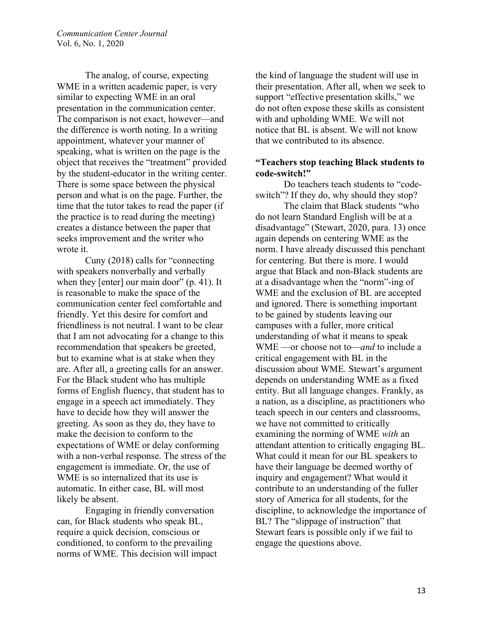The analog, of course, expecting WME in a written academic paper, is very similar to expecting WME in an oral presentation in the communication center. The comparison is not exact, however—and the difference is worth noting. In a writing appointment, whatever your manner of speaking, what is written on the page is the object that receives the "treatment" provided by the student-educator in the writing center. There is some space between the physical person and what is on the page. Further, the time that the tutor takes to read the paper (if the practice is to read during the meeting) creates a distance between the paper that seeks improvement and the writer who wrote it.

Cuny (2018) calls for "connecting with speakers nonverbally and verbally when they [enter] our main door" (p. 41). It is reasonable to make the space of the communication center feel comfortable and friendly. Yet this desire for comfort and friendliness is not neutral. I want to be clear that I am not advocating for a change to this recommendation that speakers be greeted, but to examine what is at stake when they are. After all, a greeting calls for an answer. For the Black student who has multiple forms of English fluency, that student has to engage in a speech act immediately. They have to decide how they will answer the greeting. As soon as they do, they have to make the decision to conform to the expectations of WME or delay conforming with a non-verbal response. The stress of the engagement is immediate. Or, the use of WME is so internalized that its use is automatic. In either case, BL will most likely be absent.

Engaging in friendly conversation can, for Black students who speak BL, require a quick decision, conscious or conditioned, to conform to the prevailing norms of WME. This decision will impact the kind of language the student will use in their presentation. After all, when we seek to support "effective presentation skills," we do not often expose these skills as consistent with and upholding WME. We will not notice that BL is absent. We will not know that we contributed to its absence.

### **"Teachers stop teaching Black students to code-switch!"**

Do teachers teach students to "codeswitch"? If they do, why should they stop?

The claim that Black students "who do not learn Standard English will be at a disadvantage" (Stewart, 2020, para. 13) once again depends on centering WME as the norm. I have already discussed this penchant for centering. But there is more. I would argue that Black and non-Black students are at a disadvantage when the "norm"-ing of WME and the exclusion of BL are accepted and ignored. There is something important to be gained by students leaving our campuses with a fuller, more critical understanding of what it means to speak WME —or choose not to—*and* to include a critical engagement with BL in the discussion about WME. Stewart's argument depends on understanding WME as a fixed entity. But all language changes. Frankly, as a nation, as a discipline, as practitioners who teach speech in our centers and classrooms, we have not committed to critically examining the norming of WME *with* an attendant attention to critically engaging BL. What could it mean for our BL speakers to have their language be deemed worthy of inquiry and engagement? What would it contribute to an understanding of the fuller story of America for all students, for the discipline, to acknowledge the importance of BL? The "slippage of instruction" that Stewart fears is possible only if we fail to engage the questions above.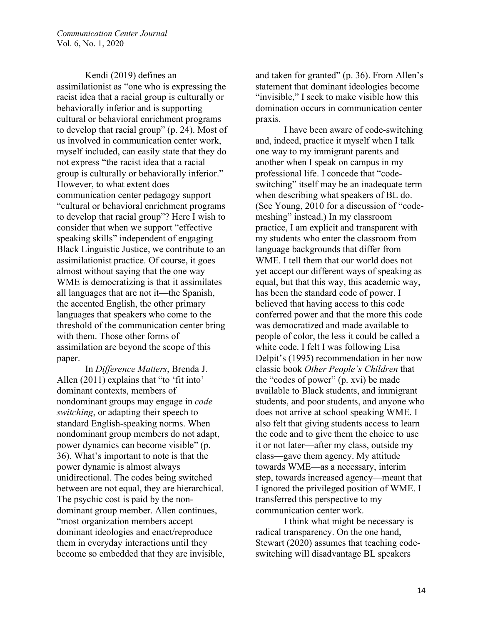Kendi (2019) defines an assimilationist as "one who is expressing the racist idea that a racial group is culturally or behaviorally inferior and is supporting cultural or behavioral enrichment programs to develop that racial group" (p. 24). Most of us involved in communication center work, myself included, can easily state that they do not express "the racist idea that a racial group is culturally or behaviorally inferior." However, to what extent does communication center pedagogy support "cultural or behavioral enrichment programs to develop that racial group"? Here I wish to consider that when we support "effective speaking skills" independent of engaging Black Linguistic Justice, we contribute to an assimilationist practice. Of course, it goes almost without saying that the one way WME is democratizing is that it assimilates all languages that are not it—the Spanish, the accented English, the other primary languages that speakers who come to the threshold of the communication center bring with them. Those other forms of assimilation are beyond the scope of this paper.

In *Difference Matters*, Brenda J. Allen (2011) explains that "to 'fit into' dominant contexts, members of nondominant groups may engage in *code switching*, or adapting their speech to standard English-speaking norms. When nondominant group members do not adapt, power dynamics can become visible" (p. 36). What's important to note is that the power dynamic is almost always unidirectional. The codes being switched between are not equal, they are hierarchical. The psychic cost is paid by the nondominant group member. Allen continues, "most organization members accept dominant ideologies and enact/reproduce them in everyday interactions until they become so embedded that they are invisible,

and taken for granted" (p. 36). From Allen's statement that dominant ideologies become "invisible," I seek to make visible how this domination occurs in communication center praxis.

I have been aware of code-switching and, indeed, practice it myself when I talk one way to my immigrant parents and another when I speak on campus in my professional life. I concede that "codeswitching" itself may be an inadequate term when describing what speakers of BL do. (See Young, 2010 for a discussion of "codemeshing" instead.) In my classroom practice, I am explicit and transparent with my students who enter the classroom from language backgrounds that differ from WME. I tell them that our world does not yet accept our different ways of speaking as equal, but that this way, this academic way, has been the standard code of power. I believed that having access to this code conferred power and that the more this code was democratized and made available to people of color, the less it could be called a white code. I felt I was following Lisa Delpit's (1995) recommendation in her now classic book *Other People's Children* that the "codes of power" (p. xvi) be made available to Black students, and immigrant students, and poor students, and anyone who does not arrive at school speaking WME. I also felt that giving students access to learn the code and to give them the choice to use it or not later—after my class, outside my class—gave them agency. My attitude towards WME—as a necessary, interim step, towards increased agency—meant that I ignored the privileged position of WME. I transferred this perspective to my communication center work.

I think what might be necessary is radical transparency. On the one hand, Stewart (2020) assumes that teaching codeswitching will disadvantage BL speakers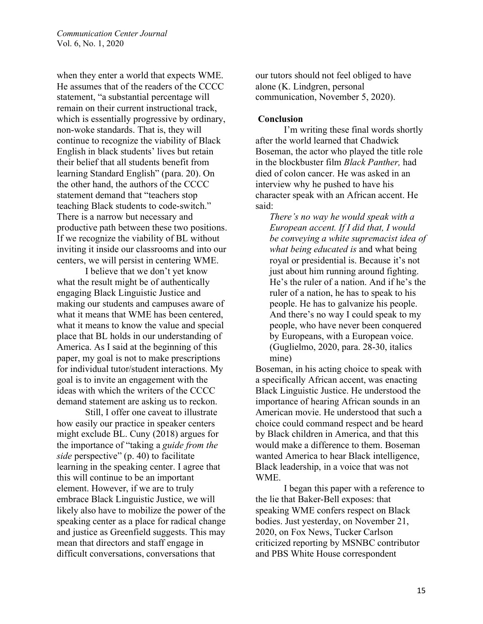when they enter a world that expects WME. He assumes that of the readers of the CCCC statement, "a substantial percentage will remain on their current instructional track, which is essentially progressive by ordinary, non-woke standards. That is, they will continue to recognize the viability of Black English in black students' lives but retain their belief that all students benefit from learning Standard English" (para. 20). On the other hand, the authors of the CCCC statement demand that "teachers stop teaching Black students to code-switch." There is a narrow but necessary and productive path between these two positions. If we recognize the viability of BL without inviting it inside our classrooms and into our centers, we will persist in centering WME.

I believe that we don't yet know what the result might be of authentically engaging Black Linguistic Justice and making our students and campuses aware of what it means that WME has been centered, what it means to know the value and special place that BL holds in our understanding of America. As I said at the beginning of this paper, my goal is not to make prescriptions for individual tutor/student interactions. My goal is to invite an engagement with the ideas with which the writers of the CCCC demand statement are asking us to reckon.

Still, I offer one caveat to illustrate how easily our practice in speaker centers might exclude BL. Cuny (2018) argues for the importance of "taking a *guide from the side* perspective" (p. 40) to facilitate learning in the speaking center. I agree that this will continue to be an important element. However, if we are to truly embrace Black Linguistic Justice, we will likely also have to mobilize the power of the speaking center as a place for radical change and justice as Greenfield suggests. This may mean that directors and staff engage in difficult conversations, conversations that

our tutors should not feel obliged to have alone (K. Lindgren, personal communication, November 5, 2020).

#### **Conclusion**

I'm writing these final words shortly after the world learned that Chadwick Boseman, the actor who played the title role in the blockbuster film *Black Panther,* had died of colon cancer. He was asked in an interview why he pushed to have his character speak with an African accent. He said:

*There's no way he would speak with a European accent. If I did that, I would be conveying a white supremacist idea of what being educated is* and what being royal or presidential is. Because it's not just about him running around fighting. He's the ruler of a nation. And if he's the ruler of a nation, he has to speak to his people. He has to galvanize his people. And there's no way I could speak to my people, who have never been conquered by Europeans, with a European voice. (Guglielmo, 2020, para. 28-30, italics mine)

Boseman, in his acting choice to speak with a specifically African accent, was enacting Black Linguistic Justice. He understood the importance of hearing African sounds in an American movie. He understood that such a choice could command respect and be heard by Black children in America, and that this would make a difference to them. Boseman wanted America to hear Black intelligence, Black leadership, in a voice that was not WME.

I began this paper with a reference to the lie that Baker-Bell exposes: that speaking WME confers respect on Black bodies. Just yesterday, on November 21, 2020, on Fox News, Tucker Carlson criticized reporting by MSNBC contributor and PBS White House correspondent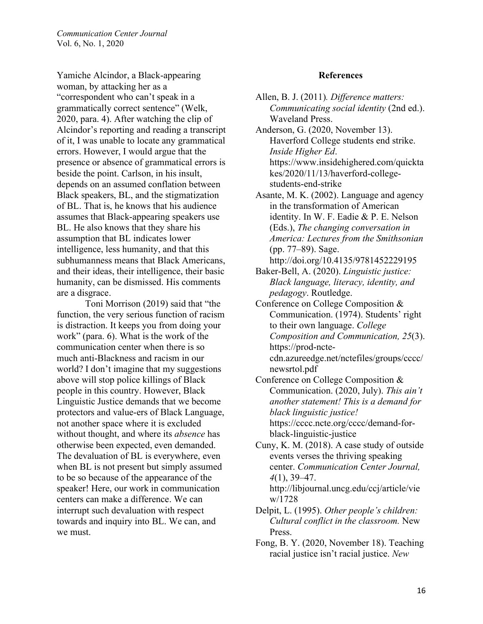Yamiche Alcindor, a Black-appearing woman, by attacking her as a "correspondent who can't speak in a grammatically correct sentence" (Welk, 2020, para. 4). After watching the clip of Alcindor's reporting and reading a transcript of it, I was unable to locate any grammatical errors. However, I would argue that the presence or absence of grammatical errors is beside the point. Carlson, in his insult, depends on an assumed conflation between Black speakers, BL, and the stigmatization of BL. That is, he knows that his audience assumes that Black-appearing speakers use BL. He also knows that they share his assumption that BL indicates lower intelligence, less humanity, and that this subhumanness means that Black Americans, and their ideas, their intelligence, their basic humanity, can be dismissed. His comments are a disgrace.

Toni Morrison (2019) said that "the function, the very serious function of racism is distraction. It keeps you from doing your work" (para. 6). What is the work of the communication center when there is so much anti-Blackness and racism in our world? I don't imagine that my suggestions above will stop police killings of Black people in this country. However, Black Linguistic Justice demands that we become protectors and value-ers of Black Language, not another space where it is excluded without thought, and where its *absence* has otherwise been expected, even demanded. The devaluation of BL is everywhere, even when BL is not present but simply assumed to be so because of the appearance of the speaker! Here, our work in communication centers can make a difference. We can interrupt such devaluation with respect towards and inquiry into BL. We can, and we must.

#### **References**

- Allen, B. J. (2011)*. Difference matters: Communicating social identity* (2nd ed.). Waveland Press.
- Anderson, G. (2020, November 13). Haverford College students end strike. *Inside Higher Ed*. https://www.insidehighered.com/quickta kes/2020/11/13/haverford-collegestudents-end-strike
- Asante, M. K. (2002). Language and agency in the transformation of American identity. In W. F. Eadie & P. E. Nelson (Eds.), *The changing conversation in America: Lectures from the Smithsonian*  (pp. 77–89). Sage.

http://doi.org/10.4135/9781452229195

- Baker-Bell, A. (2020). *Linguistic justice: Black language, literacy, identity, and pedagogy*. Routledge.
- Conference on College Composition & Communication. (1974). Students' right to their own language. *College Composition and Communication, 25*(3). https://prod-nctecdn.azureedge.net/nctefiles/groups/cccc/ newsrtol.pdf
- Conference on College Composition & Communication. (2020, July). *This ain't another statement! This is a demand for black linguistic justice!* https://cccc.ncte.org/cccc/demand-forblack-linguistic-justice
- Cuny, K. M. (2018). A case study of outside events verses the thriving speaking center. *Communication Center Journal, 4*(1), 39–47. http://libjournal.uncg.edu/ccj/article/vie w/1728
- Delpit, L. (1995). *Other people's children: Cultural conflict in the classroom.* New Press.
- Fong, B. Y. (2020, November 18). Teaching racial justice isn't racial justice. *New*